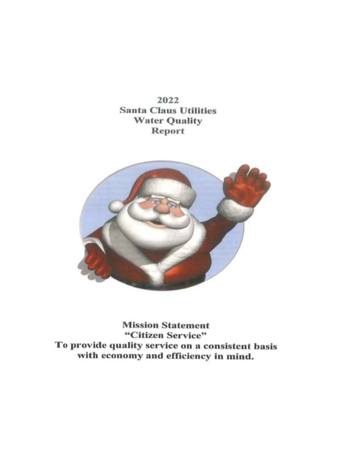2022 **Santa Claus Utilities Water Quality** Report



**Mission Statement** "Citizen Service" To provide quality service on a consistent basis with economy and efficiency in mind.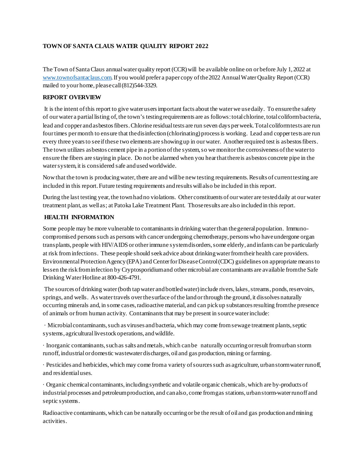## **TOWN OF SANTA CLAUS WATER QUALITY REPORT 2022**

The Town of Santa Claus annual water quality report (CCR) will be available online on or before July 1, 2022 at [www.townofsantaclaus.com.](http://www.townofsantaclaus.com/) If you would prefer a paper copy of the 2022 Annual Water Quality Report (CCR) mailed to your home, please call (812)544-3329.

### **REPORT OVERVIEW**

It is the intent of this report to give water users important facts about the water we use daily. To ensure the safety of our water a partial listing of, the town's testing requirements are as follows: total chlorine, total coliform bacteria, lead and copper and asbestos fibers. Chlorine residual tests are run seven days per week. Total coliform tests are run four times per month to ensure that the disinfection (chlorinating) process is working. Lead and copper tests are run every three years to see if these two elements are showing up in our water. Another required test is asbestos fibers. The town utilizes asbestos cement pipe in a portion of the system, so we monitor the corrosiveness of the water to ensure the fibers are staying in place. Do not be alarmed when you hear that there is asbestos concrete pipe in the water system, it is considered safe and used worldwide.

Now that the town is producing water, there are and will be new testing requirements. Results of current testing are included in this report. Future testing requirements and results will also be included in this report.

During the last testing year, the town had no violations. Other constituents of our water are tested daily at our water treatment plant, as well as; at Patoka Lake Treatment Plant. Those results are also included in this report.

### **HEALTH INFORMATION**

Some people may be more vulnerable to contaminants in drinking water than the general population. Immunocompromised persons such as persons with cancer undergoing chemotherapy, persons who have undergone organ transplants, people with HIV/AIDS or other immune system disorders, some elderly, and infants can be particularly at risk from infections. These people should seek advice about drinking water from their health care providers. Environmental Protection Agency (EPA) and Center for Disease Control (CDC) guidelines on appropriate means to lessen the risk from infection by Cryptosporidium and other microbial are contaminants are available from the Safe Drinking Water Hotline at 800-426-4791.

The sources of drinking water (both tap water and bottled water) include rivers, lakes, streams, ponds, reservoirs, springs, and wells. As water travels over the surface of the land or through the ground, it dissolves naturally occurring minerals and, in some cases, radioactive material, and can pick up substances resulting from the presence of animals or from human activity. Contaminants that may be present in source water include:

· Microbial contaminants, such as viruses and bacteria, which may come from sewage treatment plants, septic systems, agricultural livestock operations, and wildlife.

· Inorganic contaminants, such as salts and metals, which can be naturally occurring or result from urban storm runoff, industrial or domestic wastewater discharges, oil and gas production, mining or farming.

· Pesticides and herbicides, which may come from a variety of sources such as agriculture, urban storm water runoff, and residential uses.

· Organic chemical contaminants, including synthetic and volatile organic chemicals, which are by-products of industrial processes and petroleum production, and can also, come from gas stations, urban storm-water runoff and septic systems.

Radioactive contaminants, which can be naturally occurring or be the result of oil and gas production and mining activities.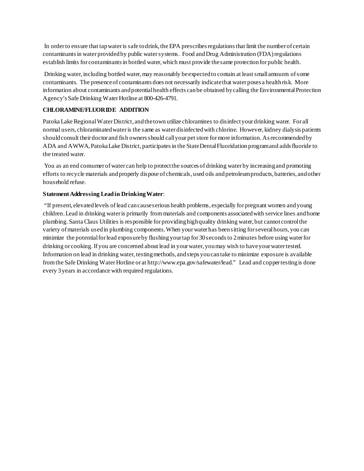In order to ensure that tap water is safe to drink, the EPA prescribes regulations that limit the number of certain contaminants in water provided by public water systems. Food and Drug Administration (FDA) regulations establish limits for contaminants in bottled water, which must provide the same protection for public health.

Drinking water, including bottled water, may reasonably be expected to contain at least small amounts of some contaminants. The presence of contaminants does not necessarily indicate that water poses a health risk. More information about contaminants and potential health effects can be obtained by calling the Environmental Protection Agency's Safe Drinking Water Hotline at 800-426-4791.

## **CHLORAMINE/FLUORIDE ADDITION**

Patoka Lake Regional Water District, and the town utilize chloramines to disinfect your drinking water. For all normal users, chloraminated water is the same as water disinfected with chlorine. However, kidney dialysis patients should consult their doctor and fish owners should call your pet store for more information. As recommended by ADA and AWWA, Patoka Lake District, participates in the State Dental Fluoridation program and adds fluoride to the treated water.

You as an end consumer of water can help to protect the sources of drinking water by increasing and promoting efforts to recycle materials and properly dispose of chemicals, used oils and petroleum products, batteries, and other household refuse.

### **Statement Addressing Lead in Drinking Water**:

"If present, elevated levels of lead can cause serious health problems, especially for pregnant women and young children. Lead in drinking water is primarily from materials and components associated with service lines and home plumbing. Santa Claus Utilities is responsible for providing high quality drinking water, but cannot control the variety of materials used in plumbing components. When your water has been sitting for several hours, you can minimize the potential for lead exposure by flushing your tap for 30 seconds to 2 minutes before using water for drinking or cooking. If you are concerned about lead in your water, you may wish to have your water tested. Information on lead in drinking water, testing methods, and steps you can take to minimize exposure is available from the Safe Drinking Water Hotline or at http://www.epa.gov/safewater/lead." Lead and copper testing is done every 3 years in accordance with required regulations.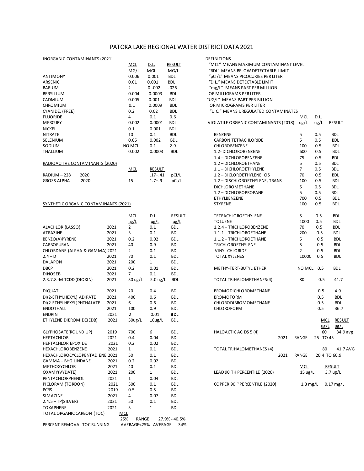### PATOKA LAKE REGIONAL WATER DISTRICT DATA 2021

# INORGANIC CONTAMINANTS (2021) DE

| INURGANIC CUNTAMINANTS (ZUZI)   |            |               |               | <b>DEFINITIONS</b>                    |               |             |               |
|---------------------------------|------------|---------------|---------------|---------------------------------------|---------------|-------------|---------------|
|                                 | <b>MCL</b> | <u>D.L.</u>   | <b>RESULT</b> | "MCL" MEANS MAXIMUM CONTAMINANT LEVEL |               |             |               |
|                                 | MG/L       | MGL           | MG/L          | "BDL" MEANS BELOW DETECTABLE LIMIT    |               |             |               |
| ANTIMONY                        | 0.006      | 0.001         | <b>BDL</b>    | "pCI/L" MEANS PICOCURIES PER LITER    |               |             |               |
| ARSENIC                         | 0.01       | 0.001         | <b>BDL</b>    | "D.L." MEANS DETECTABLE LIMIT         |               |             |               |
| <b>BARIUM</b>                   | 2          | 0.002         | .026          | "mg/L" MEANS PART PER MILLION         |               |             |               |
| <b>BERYLLIUM</b>                | 0.004      | 0.0003        | <b>BDL</b>    | OR MILLIGRAMS PER LITER               |               |             |               |
| CADMIUM                         | 0.005      | 0.001         | <b>BDL</b>    | "UG/L" MEANS PART PER BILLION         |               |             |               |
| <b>CHROMIUM</b>                 | 0.1        | 0.0009        | <b>BDL</b>    | OR MICROGRAMS PER LITER               |               |             |               |
| CYANIDE, (FREE)                 | 0.2        | 0.02          | <b>BDL</b>    | "U.C." MEANS UREGULATED CONTAMINATES  |               |             |               |
| <b>FLUORIDE</b>                 | 4          | 0.1           | 0.6           |                                       | MCL           | <u>D.L.</u> |               |
| <b>MERCURY</b>                  | 0.002      | 0.0001        | <b>BDL</b>    | VIOLATILE ORGANIC CONTAMINANTS (2018) | $\frac{u}{L}$ | ug/L        | <b>RESULT</b> |
| <b>NICKEL</b>                   | 0.1        | 0.001         | <b>BDL</b>    |                                       |               |             |               |
| <b>NITRATE</b>                  | 10         | 0.1           | <b>BDL</b>    | <b>BENZENE</b>                        | 5             | 0.5         | <b>BDL</b>    |
| <b>SELENIUM</b>                 | 0.05       | 0.002         | <b>BDL</b>    | CARBON TETRACHLORIDE                  | 5.            | 0.5         | <b>BDL</b>    |
| SODIUM                          | NO MCL     | 0.1           | 2.9           | <b>CHLOROBENZENE</b>                  | 100           | 0.5         | <b>BDL</b>    |
| <b>THALLIUM</b>                 | 0.002      | 0.0003        | <b>BDL</b>    | 1.2- DICHLOROBENZENE                  | 600           | 0.5         | <b>BDL</b>    |
|                                 |            |               |               | 1.4 - DICHLOROBENZENE                 | 75            | 0.5         | <b>BDL</b>    |
| RADIOACTIVE CONTAMINANTS (2020) |            |               |               | 1.2 - DICHLOROETHANE                  | 5.            | 0.5         | <b>BDL</b>    |
|                                 | MCL        | <b>RESULT</b> |               | 1.1 - DICHLOROETHYLENE                | 7             | 0.5         | <b>BDL</b>    |
| $PADIIIM-228$<br>วกวก           |            | $17+$ $11$    | nCl/I         | 1 2 - DICLOROETHVLENE CIS             | 70            | n 5         | RNI           |

### SYNTHETIC ORGANIC CONTAMINANTS (2021)

|                                |      | <b>MCL</b>          | D.L                 | <b>RESULT</b> | TETRACHLOROETHYLENE              |      | 5                 | 0.5           | <b>BDL</b>         |
|--------------------------------|------|---------------------|---------------------|---------------|----------------------------------|------|-------------------|---------------|--------------------|
|                                |      | $\frac{u}{2}$       | ug/L                | ug/L          | <b>TOLUENE</b>                   |      | 1000              | 0.5           | <b>BDL</b>         |
| ALACHLOR (LASSO)               | 2021 | $\overline{2}$      | 0.1                 | <b>BDL</b>    | 1.2.4 - TRICHLOROBENZENE         |      | 70                | 0.5           | <b>BDL</b>         |
| <b>ATRAZINE</b>                | 2021 | 3                   | 0.1                 | <b>BDL</b>    | 1.1.1 - TRICHLOROETHANE          |      | 200               | 0.5           | <b>BDL</b>         |
| BENZO(A)PYRENE                 | 2021 | 0.2                 | 0.02                | <b>BDL</b>    | 1.1.2 - TRICHLOROETHANE          |      | 5                 | 0.5           | <b>BDL</b>         |
| CARBOFURAN                     | 2021 | 40                  | 0.9                 | <b>BDL</b>    | TRICHLOROETHYLENE                |      | 5                 | 0.5           | <b>BDL</b>         |
| CHLORDANE (ALPHA & GAMMA) 2021 |      | $\overline{2}$      | 0.1                 | <b>BDL</b>    | VINYL CHLORIDE                   |      | $\overline{2}$    | 0.5           | <b>BDL</b>         |
| $2.4 - D$                      | 2021 | 70                  | 0.1                 | <b>BDL</b>    | <b>TOTAL XYLENES</b>             |      | 10000             | 0.5           | <b>BDL</b>         |
| <b>DALAPON</b>                 | 2021 | 200                 | $\mathbf{1}$        | <b>BDL</b>    |                                  |      |                   |               |                    |
| <b>DBCP</b>                    | 2021 | 0.2                 | 0.01                | <b>BDL</b>    | METHY-TERT-BUTYL ETHER           |      | NO MCL            | 0.5           | <b>BDL</b>         |
| <b>DINOSEB</b>                 | 2021 | $7^{\circ}$         | 0.1                 | <b>BDL</b>    |                                  |      |                   |               |                    |
| 2.3.7.8 - M TCDD (DIOXIN)      | 2021 | $30 \text{ ug/L}$   | $5.0 \text{ ug/L}$  | <b>BDL</b>    | TOTAL TRIHALOMETHANES(4)         |      | 80                | 0.5           | 41.7               |
| <b>DIQUAT</b>                  | 2021 | 20                  | 0.4                 | <b>BDL</b>    | BROMODICHLOROMETHANE             |      |                   | 0.5           | 4.9                |
| DI(2-ETHYLHEXYL) ADIPATE       | 2021 | 400                 | 0.6                 | <b>BDL</b>    | <b>BROMOFORM</b>                 |      |                   | 0.5           | <b>BDL</b>         |
| DI(2-ETHYLHEXYL)PHTHALATE      | 2021 | 6                   | 0.6                 | <b>BDL</b>    | CHLORODIBROMOMETHANE             |      |                   | 0.5           | <b>BDL</b>         |
| <b>ENDOTHALL</b>               | 2021 | 100                 | 0.9                 | <b>BDL</b>    | CHLOROFORM                       |      |                   | 0.5           | 36.7               |
| <b>ENDRIN</b>                  | 2021 | $\overline{2}$      | 0.01                | <b>BDL</b>    |                                  |      |                   |               |                    |
| ETHYLENE DIBROMIDE(EDB)        | 2021 | 50ug/L              | 10 <sub>ug</sub> /L | <b>BDL</b>    |                                  |      |                   | <b>MCL</b>    | <b>RESULT</b>      |
|                                |      |                     |                     |               |                                  |      |                   | ug/L          | ug/L               |
| GLYPHOSATE(ROUND UP)           | 2019 | 700                 | 6                   | <b>BDL</b>    | <b>HALOACTIC ACIDS 5 (4)</b>     |      |                   | 60            | 34.9 avg           |
| <b>HEPTACHLOR</b>              | 2021 | 0.4                 | 0.04                | <b>BDL</b>    |                                  | 2021 | <b>RANGE</b>      | 25 TO 45      |                    |
| <b>HEPTACHLOR EPOXIDE</b>      | 2021 | 0.2                 | 0.02                | <b>BDL</b>    |                                  |      |                   |               |                    |
| HEXACHLOROBENZENE              | 2021 | $\mathbf{1}$        | 0.1                 | <b>BDL</b>    | <b>TOTAL TRIHALOMETHANES (4)</b> |      |                   | 80            | 41.7 AVG           |
| HEXACHLOROCYCLOPENTADIENE 2021 |      | 50                  | 0.1                 | <b>BDL</b>    |                                  | 2021 | <b>RANGE</b>      | 20.4 TO 60.9  |                    |
| <b>GAMMA-BHG LINDANE</b>       | 2021 | 0.2                 | 0.02                | <b>BDL</b>    |                                  |      |                   |               |                    |
| <b>METHOXYCHLOR</b>            | 2021 | 40                  | 0.1                 | <b>BDL</b>    |                                  |      | <b>MCL</b>        | <b>RESULT</b> |                    |
| OXAMY(VYDATE)                  | 2021 | 200                 | $\mathbf{1}$        | <b>BDL</b>    | LEAD 90 TH PERCENTILE (2020)     |      | $15 \text{ ug/L}$ |               | $3.7 \text{ ug/L}$ |
| PENTACHLORPHENOL               | 2021 | $\mathbf{1}$        | 0.04                | <b>BDL</b>    |                                  |      |                   |               |                    |
| PICLORAM (TORDON)              | 2021 | 500                 | 0.1                 | <b>BDL</b>    | COPPER 90TH PERCENTILE (2020)    |      | $1.3$ mg/L        |               | $0.17$ mg/L        |
| <b>PCBS</b>                    | 2019 | 0.5                 | 0.5                 | <b>BDL</b>    |                                  |      |                   |               |                    |
| SIMAZINE                       | 2021 | 4                   | 0.07                | <b>BDL</b>    |                                  |      |                   |               |                    |
| $2.4.5 - TP(SILVER)$           | 2021 | 50                  | 0.1                 | <b>BDL</b>    |                                  |      |                   |               |                    |
| <b>TOXAPHENE</b>               | 2021 | 3                   | 1                   | <b>BDL</b>    |                                  |      |                   |               |                    |
| TOTAL ORGANIC CARBON (TOC)     |      | <b>MCL</b>          |                     |               |                                  |      |                   |               |                    |
|                                |      | <b>RANGE</b><br>25% |                     | 27.9% - 40.5% |                                  |      |                   |               |                    |
| PERCENT REMOVAL TOC RUNNING    |      | AVERAGE<25% AVERAGE |                     | 34%           |                                  |      |                   |               |                    |

| INORGANIC CONTAMINANTS (2021)         |      |                |                     |               | DEFINITIONS                           |                   |                |                    |
|---------------------------------------|------|----------------|---------------------|---------------|---------------------------------------|-------------------|----------------|--------------------|
|                                       |      | <u>MCL</u>     | <u>D.L.</u>         | <b>RESULT</b> | "MCL" MEANS MAXIMUM CONTAMINANT LEVEL |                   |                |                    |
|                                       |      | MG/L           | MGL                 | MG/L          | "BDL" MEANS BELOW DETECTABLE LIMIT    |                   |                |                    |
| <b>ANTIMONY</b>                       |      | 0.006          | 0.001               | <b>BDL</b>    | "pCI/L" MEANS PICOCURIES PER LITER    |                   |                |                    |
| ARSENIC                               |      | 0.01           | 0.001               | <b>BDL</b>    | "D.L." MEANS DETECTABLE LIMIT         |                   |                |                    |
| <b>BARIUM</b>                         |      | $\overline{2}$ | 0.002               | .026          | "mg/L" MEANS PART PER MILLION         |                   |                |                    |
| BERYLLIUM                             |      | 0.004          | 0.0003              | <b>BDL</b>    | OR MILLIGRAMS PER LITER               |                   |                |                    |
| CADMIUM                               |      | 0.005          | 0.001               | <b>BDL</b>    | "UG/L" MEANS PART PER BILLION         |                   |                |                    |
| <b>CHROMIUM</b>                       |      | 0.1            | 0.0009              | <b>BDL</b>    | OR MICROGRAMS PER LITER               |                   |                |                    |
| CYANIDE, (FREE)                       |      | 0.2            | 0.02                | <b>BDL</b>    | "U.C." MEANS UREGULATED CONTAMINATES  |                   |                |                    |
| <b>FLUORIDE</b>                       |      | 4              | 0.1                 | 0.6           |                                       | MCL               | <u>D.L.</u>    |                    |
| <b>MERCURY</b>                        |      | 0.002          | 0.0001              | <b>BDL</b>    | VIOLATILE ORGANIC CONTAMINANTS (2018) | $\frac{u}{2}$     | ug/L           | <b>RESULT</b>      |
|                                       |      |                |                     |               |                                       |                   |                |                    |
| NICKEL                                |      | 0.1            | 0.001               | <b>BDL</b>    |                                       |                   |                |                    |
| NITRATE                               |      | 10             | 0.1                 | <b>BDL</b>    | <b>BENZENE</b>                        | 5                 | 0.5            | <b>BDL</b>         |
| SELENIUM                              |      | 0.05           | 0.002               | <b>BDL</b>    | CARBON TETRACHLORIDE                  | 5                 | 0.5            | <b>BDL</b>         |
| SODIUM                                |      | NO MCL         | 0.1                 | 2.9           | <b>CHLOROBENZENE</b>                  | 100               | 0.5            | <b>BDL</b>         |
| THALLIUM                              |      | 0.002          | 0.0003              | <b>BDL</b>    | 1.2- DICHLOROBENZENE                  | 600               | 0.5            | <b>BDL</b>         |
|                                       |      |                |                     |               | 1.4 - DICHLOROBENZENE                 | 75                | 0.5            | <b>BDL</b>         |
| RADIOACTIVE CONTAMINANTS (2020)       |      |                |                     |               | 1.2 - DICHLOROETHANE                  | 5                 | 0.5            | <b>BDL</b>         |
|                                       |      | <u>MCL</u>     | <b>RESULT</b>       |               | 1.1 - DICHLOROETHYLENE                | $\overline{7}$    | 0.5            | <b>BDL</b>         |
| 2020<br>RADIUM – 228                  |      |                | $.17 + .41$         | pCI/L         | 1.2 - DICLOROETHYLENE, CIS            | 70                | 0.5            | <b>BDL</b>         |
| <b>GROSS ALPHA</b><br>2020            |      | 15             | $1.7 + .9$          | pCI/L         | 1.2 - DISCHLOROETHYLENE, TRANS        | 100               | 0.5            | <b>BDL</b>         |
|                                       |      |                |                     |               | DICHLOROMETHANE                       | 5                 | 0.5            | <b>BDL</b>         |
|                                       |      |                |                     |               | 1.2 - DICHLOROPROPANE                 | 5                 | 0.5            | <b>BDL</b>         |
|                                       |      |                |                     |               | ETHYLBENZENE                          | 700               | 0.5            | <b>BDL</b>         |
| SYNTHETIC ORGANIC CONTAMINANTS (2021) |      |                |                     |               | <b>STYRENE</b>                        | 100               | 0.5            | <b>BDL</b>         |
|                                       |      |                |                     |               |                                       |                   |                |                    |
|                                       |      | <b>MCL</b>     |                     |               |                                       | 5                 | 0.5            | <b>BDL</b>         |
|                                       |      |                | D.L                 | <b>RESULT</b> | <b>TETRACHLOROETHYLENE</b>            |                   |                |                    |
|                                       |      | $ug/l$         | ug/L                | $\frac{u}{2}$ | <b>TOLUENE</b>                        | 1000              | 0.5            | <b>BDL</b>         |
| ALACHLOR (LASSO)                      | 2021 | $\overline{2}$ | 0.1                 | <b>BDL</b>    | 1.2.4 - TRICHLOROBENZENE              | 70                | 0.5            | <b>BDL</b>         |
| ATRAZINE                              | 2021 | 3              | 0.1                 | <b>BDL</b>    | 1.1.1 - TRICHLOROETHANE               | 200               | 0.5            | <b>BDL</b>         |
| BENZO(A)PYRENE                        | 2021 | 0.2            | 0.02                | <b>BDL</b>    | 1.1.2 - TRICHLOROETHANE               | 5                 | 0.5            | <b>BDL</b>         |
| CARBOFURAN                            | 2021 | 40             | 0.9                 | <b>BDL</b>    | <b>TRICHLOROETHYLENE</b>              | 5                 | 0.5            | <b>BDL</b>         |
| CHLORDANE (ALPHA & GAMMA) 2021        |      | 2              | 0.1                 | <b>BDL</b>    | VINYL CHLORIDE                        | $\overline{2}$    | 0.5            | <b>BDL</b>         |
| $2.4 - D$                             | 2021 | 70             | 0.1                 | <b>BDL</b>    | <b>TOTAL XYLENES</b>                  | 10000             | 0.5            | <b>BDL</b>         |
| DALAPON                               | 2021 | 200            | $\mathbf{1}$        | <b>BDL</b>    |                                       |                   |                |                    |
| DBCP                                  | 2021 | 0.2            | 0.01                | <b>BDL</b>    | METHY-TERT-BUTYL ETHER                | NO MCL 0.5        |                | <b>BDL</b>         |
| <b>DINOSEB</b>                        | 2021 | $\overline{7}$ | 0.1                 | <b>BDL</b>    |                                       |                   |                |                    |
| 2.3.7.8 - M TCDD (DIOXIN)             | 2021 | 30 ug/L        | 5.0 $\mu$ g/L       | <b>BDL</b>    | TOTAL TRIHALOMETHANES(4)              | 80                | 0.5            | 41.7               |
|                                       |      |                |                     |               |                                       |                   |                |                    |
| DIQUAT                                | 2021 | 20             | 0.4                 | <b>BDL</b>    | <b>BROMODICHLOROMETHANE</b>           |                   | 0.5            | 4.9                |
| DI(2-ETHYLHEXYL) ADIPATE              | 2021 | 400            | 0.6                 | <b>BDL</b>    | <b>BROMOFORM</b>                      |                   | 0.5            | <b>BDL</b>         |
| DI(2-ETHYLHEXYL)PHTHALATE             | 2021 | 6              | 0.6                 | <b>BDL</b>    | CHLORODIBROMOMETHANE                  |                   | 0.5            | BDL                |
| <b>ENDOTHALL</b>                      | 2021 | 100            | 0.9                 | <b>BDL</b>    | CHLOROFORM                            |                   | 0.5            | 36.7               |
|                                       |      |                |                     |               |                                       |                   |                |                    |
| ENDRIN                                | 2021 | 2              | 0.01                | <b>BDL</b>    |                                       |                   |                |                    |
| ETHYLENE DIBROMIDE(EDB)               | 2021 | $50$ ug/L      | 10 <sub>ug</sub> /L | <b>BDL</b>    |                                       |                   | MCL            | <b>RESUI</b>       |
|                                       |      |                |                     |               |                                       |                   | $\frac{ug}{L}$ | $\frac{ug}{L}$     |
| GLYPHOSATE(ROUND UP)                  | 2019 | 700            | 6                   | <b>BDL</b>    | HALOACTIC ACIDS 5 (4)                 |                   | 60             | 34.9               |
| <b>HEPTACHLOR</b>                     | 2021 | 0.4            | 0.04                | <b>BDL</b>    | 2021                                  | <b>RANGE</b>      | 25 TO 45       |                    |
| HEPTACHLOR EPOXIDE                    | 2021 | 0.2            | 0.02                | <b>BDL</b>    |                                       |                   |                |                    |
| HEXACHLOROBENZENE                     | 2021 | $\mathbf{1}$   | 0.1                 | <b>BDL</b>    | TOTAL TRIHALOMETHANES (4)             |                   | 80             | 41.7               |
| HEXACHLOROCYCLOPENTADIENE 2021        |      | 50             | 0.1                 | <b>BDL</b>    | 2021                                  | <b>RANGE</b>      |                | 20.4 TO 60.9       |
| GAMMA – BHG LINDANE                   | 2021 | 0.2            | 0.02                | <b>BDL</b>    |                                       |                   |                |                    |
| METHOXYCHLOR                          | 2021 | 40             | 0.1                 | <b>BDL</b>    |                                       | MCL               |                | <b>RESULT</b>      |
| OXAMY(VYDATE)                         | 2021 | 200            | $\mathbf{1}$        | <b>BDL</b>    | LEAD 90 TH PERCENTILE (2020)          | $15 \text{ ug/L}$ |                | $3.7 \text{ ug/L}$ |
| PENTACHLORPHENOL                      | 2021 | $\mathbf{1}$   | 0.04                | <b>BDL</b>    |                                       |                   |                |                    |
| PICLORAM (TORDON)                     | 2021 | 500            | 0.1                 | <b>BDL</b>    | COPPER 90TH PERCENTILE (2020)         | $1.3$ mg/L        |                | $0.17$ mg/L        |
|                                       |      |                |                     |               |                                       |                   |                |                    |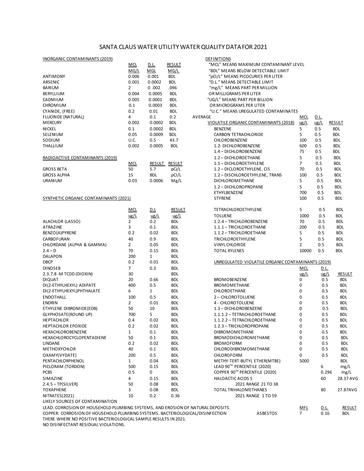## SANTA CLAUS WATER UTILITY WATER QUALITY DATA FOR 2021

| INORGANIC CONTAMINANTS (2019)                                                                                                                                    |                |               |               | DEFINITIONS                                                 |                              |                     |                             |
|------------------------------------------------------------------------------------------------------------------------------------------------------------------|----------------|---------------|---------------|-------------------------------------------------------------|------------------------------|---------------------|-----------------------------|
|                                                                                                                                                                  | <b>MCL</b>     | <u>D.L.</u>   | <b>RESULT</b> | "MCL" MEANS MAXIMUM CONTAMINANT LEVEL                       |                              |                     |                             |
|                                                                                                                                                                  | MG/L           | MGL           | MG/L          | "BDL" MEANS BELOW DETECTABLE LIMIT                          |                              |                     |                             |
| <b>ANTIMONY</b>                                                                                                                                                  | 0.006          | 0.001         | <b>BDL</b>    | "pCI/L" MEANS PICOCURIES PER LITER                          |                              |                     |                             |
| ARSENIC                                                                                                                                                          | 0.001          | 0.0002        | <b>BDL</b>    | "D.L." MEANS DETECTABLE LIMIT                               |                              |                     |                             |
| <b>BARIUM</b>                                                                                                                                                    | $\overline{2}$ | 0.002         | .096          | "mg/L" MEANS PART PER MILLION                               |                              |                     |                             |
| BERYLLIUM                                                                                                                                                        | 0.004          | 0.0005        | <b>BDL</b>    | OR MILLIGRAMS PER LITER                                     |                              |                     |                             |
| CADMIUM                                                                                                                                                          | 0.005          | 0.0001        | <b>BDL</b>    | "UG/L" MEANS PART PER BILLION                               |                              |                     |                             |
| <b>CHROMIUM</b>                                                                                                                                                  | 0.1            | 0.0003        | <b>BDL</b>    | OR MICROGRAMS PER LITER                                     |                              |                     |                             |
| CYANIDE, (FREE)                                                                                                                                                  | 0.2            | 0.01          | <b>BDL</b>    | "U.C." MEANS UREGULATED CONTAMINATES                        |                              |                     |                             |
| <b>FLUORIDE (NATURAL)</b>                                                                                                                                        | 4              | 0.1           | 0.2           | AVERAGE                                                     | <u>MCL</u>                   | <u>D.L.</u>         |                             |
| <b>MERCURY</b>                                                                                                                                                   | 0.002          | 0.0002        | <b>BDL</b>    | VIOLATILE ORGANIC CONTAMINANTS (2018)                       | $\frac{u}{L}$                | $\frac{u}{2}$       | <b>RESULT</b>               |
| <b>NICKEL</b>                                                                                                                                                    | 0.1            | 0.0002        | <b>BDL</b>    | <b>BENZENE</b>                                              | 5                            | 0.5                 | <b>BDL</b>                  |
| SELENIUM                                                                                                                                                         | 0.05           | 0.0009        | <b>BDL</b>    | <b>CARBON TETRACHLORIDE</b>                                 | 5                            | 0.5                 | <b>BDL</b>                  |
| SODIUM                                                                                                                                                           | U.C.           | 0.5           | 43.7          | <b>CHLOROBENZENE</b>                                        | 100                          | 0.5                 | <b>BDL</b>                  |
| <b>THALLIUM</b>                                                                                                                                                  | 0.002          | 0.0005        | <b>BDL</b>    | 1.2- DICHLOROBENZENE                                        | 600                          | 0.5                 | <b>BDL</b>                  |
|                                                                                                                                                                  |                |               |               | 1.4 - DICHLOROBENZENE                                       | 75                           | 0.5                 | <b>BDL</b>                  |
| RADIOACTIVE CONTAMINANTS (2019)                                                                                                                                  |                |               |               | 1.2 - DICHLOROETHANE                                        | 5                            | 0.5                 | <b>BDL</b>                  |
|                                                                                                                                                                  | <b>MCL</b>     | RESULT        | <b>RESULT</b> | 1.1 - DICHLOROETHYLENE                                      | $\overline{7}$               | 0.5                 | <b>BDL</b>                  |
| <b>GROSS BETA</b>                                                                                                                                                | 50             | 5.7           | pCi/L         | 1.2 - DICLOROETHYLENE, CIS                                  | 70                           | 0.5                 | <b>BDL</b>                  |
| <b>GROSS ALPHA</b>                                                                                                                                               | 15             | <b>BDL</b>    | pCI/L         | 1.2 - DISCHLOROETHYLENE, TRANS                              | 100                          | 0.5                 | <b>BDL</b>                  |
| <b>URANIUM</b>                                                                                                                                                   | 0.03           | 0.0006        | Mg/L          | <b>DICHLOROMETHANE</b>                                      | 5                            | 0.5                 | <b>BDL</b>                  |
|                                                                                                                                                                  |                |               |               | 1.2 - DICHLOROPROPANE                                       | 5                            | 0.5                 | <b>BDL</b>                  |
|                                                                                                                                                                  |                |               |               | ETHYLBENZENE                                                | 700                          | 0.5                 | <b>BDL</b>                  |
| SYNTHETIC ORGANIC CONTAMINANTS (2021)                                                                                                                            |                |               |               | <b>STYRENE</b>                                              | 100                          | 0.5                 | <b>BDL</b>                  |
|                                                                                                                                                                  |                |               |               |                                                             |                              |                     |                             |
|                                                                                                                                                                  | <b>MCL</b>     | <u>D.L</u>    | <b>RESULT</b> | TETRACHLOROETHYLENE                                         | 5                            | 0.5                 | <b>BDL</b>                  |
|                                                                                                                                                                  | ug/L           | $\frac{u}{L}$ | ug/L          | <b>TOLUENE</b>                                              | 1000                         | 0.5                 | BDL                         |
| ALACHLOR (LASSO)                                                                                                                                                 | $\overline{2}$ | 0.2           | <b>BDL</b>    | 1.2.4 - TRICHLOROBENZENE                                    | 70                           | 0.5                 | <b>BDL</b>                  |
| ATRAZINE                                                                                                                                                         | 3              | 0.1           | <b>BDL</b>    | 1.1.1 - TRICHLOROETHANE                                     | 200                          | 0.5                 | <b>BDL</b>                  |
| BENZO(A)PYRENE                                                                                                                                                   | 0.2            | 0.02          | <b>BDL</b>    | 1.1.2 - TRICHLOROETHANE                                     | 5                            | 0.5                 | <b>BDL</b>                  |
| CARBOFURAN                                                                                                                                                       | 40             | 0.9           | <b>BDL</b>    | <b>TRICHLOROETHYLENE</b>                                    | 5                            | 0.5                 | <b>BDL</b>                  |
| CHLORDANE (ALPHA & GAMMA)                                                                                                                                        | $\overline{2}$ | 0.05          | <b>BDL</b>    | VINYL CHLORIDE                                              | $\overline{2}$               | 0.5                 | <b>BDL</b>                  |
| $2.4 - D$                                                                                                                                                        | 70             | 0.15          | <b>BDL</b>    | <b>TOTAL XYLENES</b>                                        | 10000                        | 0.5                 | <b>BDL</b>                  |
| DALAPON                                                                                                                                                          | 200            | $\mathbf{1}$  | <b>BDL</b>    |                                                             |                              |                     |                             |
| <b>DBCP</b>                                                                                                                                                      | 0.2            | 0.01          | <b>BDL</b>    | UNREGULATED VIOLATILE ORGANIC CONTAMINANTS (2019)           |                              |                     |                             |
| <b>DINOSEB</b>                                                                                                                                                   | 7              | 0.3           | <b>BDL</b>    |                                                             | <u>MCL</u>                   | <u>D.L.</u>         |                             |
| 2.3.7.8 - M TCDD (DIOXIN)                                                                                                                                        | 30             |               | <b>BDL</b>    |                                                             | ug/L                         | ug/L                | <b>RESULT</b>               |
| <b>DIQUAT</b>                                                                                                                                                    | 20             | 0.66          | <b>BDL</b>    | <b>BROMOBENZENE</b>                                         | 0                            | 0.5                 | <b>BDL</b>                  |
| DI(2-ETHYLHEXYL) ADIPATE                                                                                                                                         | 400            | 0.5           | <b>BDL</b>    | <b>BROMOMETHANE</b>                                         | 0                            | 0.5                 | <b>BDL</b>                  |
| DI(2-ETHYLHEXYL)PHTHALATE                                                                                                                                        | 6              | $\mathbf{1}$  | <b>BDL</b>    | <b>CHLOROETHANE</b>                                         | 0                            | 0.5                 | <b>BDL</b>                  |
| <b>ENDOTHALL</b>                                                                                                                                                 | 100            | 0.5           | <b>BDL</b>    | 2- CHLOROTOLUENE                                            | 0                            | 0.5                 | <b>BDL</b>                  |
| <b>ENDRIN</b>                                                                                                                                                    | $\overline{2}$ | 0.01          | <b>BDL</b>    | 4 - CHLOROTOLUENE                                           | 0                            | 0.5                 | <b>BDL</b>                  |
| ETHYLENE DIBROMIDE(EDB)                                                                                                                                          | 50             | 10            | <b>BDL</b>    | 1.3 - DICHLOROBENZENE                                       | $\Omega$                     | 0.5                 | <b>BDL</b>                  |
| GLYPHOSATE(ROUND UP)                                                                                                                                             | 700            | 5             | <b>BDL</b>    | 1.1.1.2 - TETRACHLOROETHANE                                 | 0                            | 0.5                 | <b>BDL</b>                  |
| <b>HEPTACHLOR</b>                                                                                                                                                | 0.4            | 0.02          | <b>BDL</b>    | 1.1.2.2 - TETRACHLOROETHANE                                 | $\Omega$                     | 0.5                 | <b>BDL</b>                  |
| HEPTACHLOR EPOXIDE                                                                                                                                               | 0.2            | 0.02          | <b>BDL</b>    | 1.2.3 - TRICHLOROPROPANE                                    | 0                            | 0.5                 | <b>BDL</b>                  |
| HEXACHLOROBENZENE                                                                                                                                                | $\mathbf{1}$   | 0.1           | <b>BDL</b>    | DIBROMOMETHANE                                              | 0                            | 0.5                 | BDL                         |
| HEXACHLOROCYCLOPENTADIENE                                                                                                                                        | 50             | 0.1           | <b>BDL</b>    | BROMODICHLOROMETHANE                                        | 0                            | 0.5                 | <b>BDL</b>                  |
| LINDANE                                                                                                                                                          | 0.2            | 0.02          | <b>BDL</b>    | <b>BROMOFORM</b>                                            | 0                            | 0.5                 | <b>BDL</b>                  |
| <b>METHOXYCHLOR</b>                                                                                                                                              | 40             | 0.1           | <b>BDL</b>    | CHLORODIBROMOMETHANE                                        | 0                            | 0.5                 | <b>BDL</b>                  |
|                                                                                                                                                                  | 200            |               |               | CHLOROFORM                                                  | 0                            | 0.5                 | <b>BDL</b>                  |
| OXAMY(VYDATE)<br>PENTACHLORPHENOL                                                                                                                                |                | 0.5           | <b>BDL</b>    |                                                             |                              |                     |                             |
|                                                                                                                                                                  | $\mathbf{1}$   | 0.04          | <b>BDL</b>    | METHY-TERT-BUTYL ETHER(MTBE)<br>LEAD 90TH PERCENTILE (2020) | 5000                         |                     | <b>BDL</b>                  |
| PICLORAM (TORDON)                                                                                                                                                | 500            | 0.15          | <b>BDL</b>    | COPPER 90TH PERCENTILE (2020)                               |                              | 6                   | mg/L                        |
| <b>PCBS</b>                                                                                                                                                      | 0.5            | 0             | <b>BDL</b>    |                                                             |                              | 0.296               | mg/L                        |
| SIMAZINE                                                                                                                                                         | 4              | 0.15          | <b>BDL</b>    | <b>HALOACTIC ACIDS 5</b>                                    |                              | 60                  | 28.37 AVG                   |
| $2.4.5 - TP(SILVER)$                                                                                                                                             | 50             | 0.08          | <b>BDL</b>    | 2021 RANGE 21 TO 38                                         |                              |                     |                             |
| <b>TOXAPHENE</b>                                                                                                                                                 | 3              | 0.08          | <b>BDL</b>    | <b>TOTAL TRIHALOMETHANES</b>                                |                              | 80                  | 27.87AVG                    |
| NITRATES(2021)                                                                                                                                                   | 10             | 0.2           | 0.36          | 2021 RANGE 1 TO 59                                          |                              |                     |                             |
| LIKELY SOURCES OF CONTAMINATION                                                                                                                                  |                |               |               |                                                             |                              |                     |                             |
| LEAD: CORROSION OF HOUSEHOLD PLUMBING SYSTEMS, AND EROSION OF NATURAL DEPOSITS.<br>COPPER: CORROSION OF HOUSEHOLD PLUMBING SYSTEMS. BACTERIOLOGICAL/DISINFECTION |                |               |               | ASBESTOS                                                    | <u>MFL</u><br>7 <sup>7</sup> | <u>D.L.</u><br>0.16 | <b>RESULT</b><br><b>BDL</b> |

THERE WHERE NO POSITIVE BACTERIOLOGICAL SAMPLE RESULTS IN 2021.

NO DISINFECTANT RESIDUAL VIOLATIONS.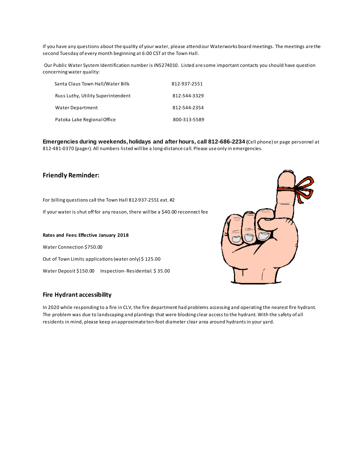If you have any questions about the quality of your water, please attend our Waterworks board meetings. The meetings are the second Tuesday of every month beginning at 6:00 CST at the Town Hall.

Our Public Water System Identification number is IN5274010. Listed are some important contacts you should have question concerning water quality:

| Santa Claus Town Hall/Water Bills  | 812-937-2551 |
|------------------------------------|--------------|
| Russ Luthy, Utility Superintendent | 812-544-3329 |
| Water Department                   | 812-544-2354 |
| Patoka Lake Regional Office        | 800-313-5589 |

**Emergencies during weekends, holidays and after hours, call 812-686-2234 (**Cell phone) or page personnel at 812-481-0370 (pager). All numbers listed will be a long-distance call. Please use only in emergencies.

### **Friendly Reminder:**

For billing questions call the Town Hall 812-937-2551 ext. #2

If your water is shut off for any reason, there will be a \$40.00 reconnect fee

**Rates and Fees: Effective January 2018** Water Connection \$750.00 Out of Town Limits applications (water only) \$ 125.00 Water Deposit \$150.00 Inspection- Residential. \$35.00



### **Fire Hydrant accessibility**

In 2020 while responding to a fire in CLV, the fire department had problems accessing and operating the nearest fire hydrant. The problem was due to landscaping and plantings that were blocking clear access to the hydrant. With the safety of all residents in mind, please keep an approximate ten-foot diameter clear area around hydrants in your yard.